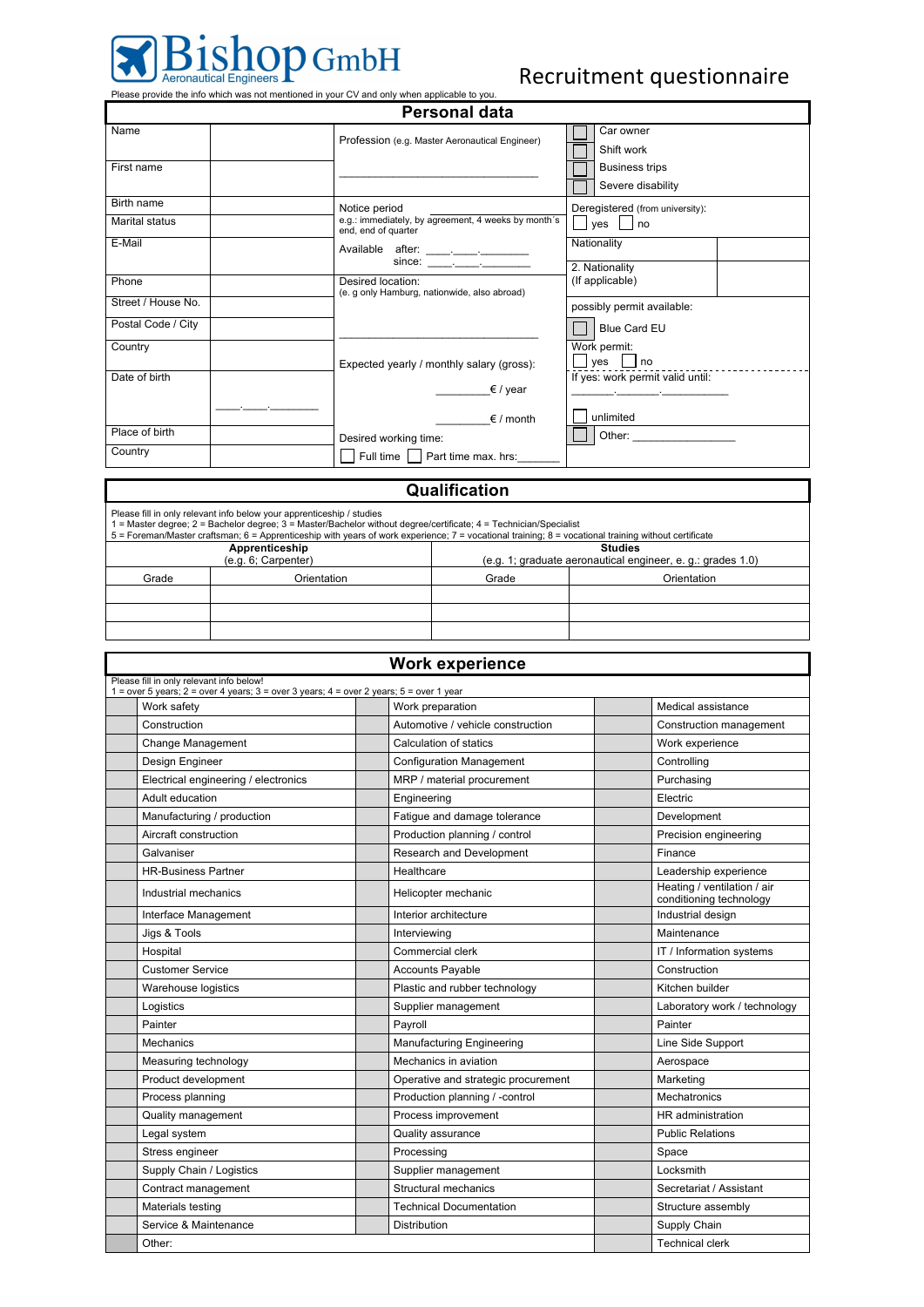

| Personal data      |                                                                                                                                                                                                                                                                                                                                                                                                                            |                                  |  |  |  |  |
|--------------------|----------------------------------------------------------------------------------------------------------------------------------------------------------------------------------------------------------------------------------------------------------------------------------------------------------------------------------------------------------------------------------------------------------------------------|----------------------------------|--|--|--|--|
| Name               | Profession (e.g. Master Aeronautical Engineer)                                                                                                                                                                                                                                                                                                                                                                             | Car owner<br>Shift work          |  |  |  |  |
|                    |                                                                                                                                                                                                                                                                                                                                                                                                                            |                                  |  |  |  |  |
| First name         |                                                                                                                                                                                                                                                                                                                                                                                                                            | <b>Business trips</b>            |  |  |  |  |
|                    |                                                                                                                                                                                                                                                                                                                                                                                                                            | Severe disability                |  |  |  |  |
| Birth name         | Notice period                                                                                                                                                                                                                                                                                                                                                                                                              | Deregistered (from university):  |  |  |  |  |
| Marital status     | e.g.: immediately, by agreement, 4 weeks by month's<br>end, end of quarter                                                                                                                                                                                                                                                                                                                                                 | ves no<br>Nationality            |  |  |  |  |
| E-Mail             |                                                                                                                                                                                                                                                                                                                                                                                                                            |                                  |  |  |  |  |
|                    | since: $\frac{1}{\sqrt{1-\frac{1}{2}}\cdot\frac{1}{\sqrt{1-\frac{1}{2}}\cdot\frac{1}{2}}\cdot\frac{1}{\sqrt{1-\frac{1}{2}}\cdot\frac{1}{2}}\cdot\frac{1}{\sqrt{1-\frac{1}{2}}\cdot\frac{1}{2}}\cdot\frac{1}{\sqrt{1-\frac{1}{2}}\cdot\frac{1}{2}}\cdot\frac{1}{\sqrt{1-\frac{1}{2}}\cdot\frac{1}{2}}\cdot\frac{1}{\sqrt{1-\frac{1}{2}}\cdot\frac{1}{2}}\cdot\frac{1}{\sqrt{1-\frac{1}{2}}\cdot\frac{1}{2}}\cdot\frac{1}{\$ | 2. Nationality                   |  |  |  |  |
| Phone              | Desired location:<br>(e. g only Hamburg, nationwide, also abroad)                                                                                                                                                                                                                                                                                                                                                          | (If applicable)                  |  |  |  |  |
| Street / House No. |                                                                                                                                                                                                                                                                                                                                                                                                                            | possibly permit available:       |  |  |  |  |
| Postal Code / City |                                                                                                                                                                                                                                                                                                                                                                                                                            | Blue Card EU                     |  |  |  |  |
| Country            |                                                                                                                                                                                                                                                                                                                                                                                                                            | Work permit:                     |  |  |  |  |
|                    | Expected yearly / monthly salary (gross):                                                                                                                                                                                                                                                                                                                                                                                  | $\Box$ yes $\Box$ no             |  |  |  |  |
| Date of birth      |                                                                                                                                                                                                                                                                                                                                                                                                                            | If yes: work permit valid until: |  |  |  |  |
|                    | $\epsilon$ / year                                                                                                                                                                                                                                                                                                                                                                                                          |                                  |  |  |  |  |
|                    | $\epsilon$ / month                                                                                                                                                                                                                                                                                                                                                                                                         | unlimited                        |  |  |  |  |
| Place of birth     | Desired working time:                                                                                                                                                                                                                                                                                                                                                                                                      |                                  |  |  |  |  |
| Country            | Full time     Part time max. hrs:                                                                                                                                                                                                                                                                                                                                                                                          |                                  |  |  |  |  |

| Qualification                                                                                                                                                                                                                                                                                                                                      |             |                                                            |             |  |  |  |  |
|----------------------------------------------------------------------------------------------------------------------------------------------------------------------------------------------------------------------------------------------------------------------------------------------------------------------------------------------------|-------------|------------------------------------------------------------|-------------|--|--|--|--|
| Please fill in only relevant info below your apprenticeship / studies<br>1 = Master degree; 2 = Bachelor degree; 3 = Master/Bachelor without degree/certificate; 4 = Technician/Specialist<br>5 = Foreman/Master craftsman; 6 = Apprenticeship with years of work experience; 7 = vocational training; 8 = vocational training without certificate |             |                                                            |             |  |  |  |  |
| Apprenticeship                                                                                                                                                                                                                                                                                                                                     |             | <b>Studies</b>                                             |             |  |  |  |  |
| (e.g. 6; Carpenter)                                                                                                                                                                                                                                                                                                                                |             | (e.g. 1; graduate aeronautical engineer, e.g.: grades 1.0) |             |  |  |  |  |
| Grade                                                                                                                                                                                                                                                                                                                                              | Orientation | Grade                                                      | Orientation |  |  |  |  |
|                                                                                                                                                                                                                                                                                                                                                    |             |                                                            |             |  |  |  |  |
|                                                                                                                                                                                                                                                                                                                                                    |             |                                                            |             |  |  |  |  |
|                                                                                                                                                                                                                                                                                                                                                    |             |                                                            |             |  |  |  |  |

| <b>Work experience</b>                                                                                                                      |                                     |                                                        |  |  |  |
|---------------------------------------------------------------------------------------------------------------------------------------------|-------------------------------------|--------------------------------------------------------|--|--|--|
| Please fill in only relevant info below!<br>1 = over 5 years; $2$ = over 4 years; $3$ = over 3 years; $4$ = over 2 years; $5$ = over 1 year |                                     |                                                        |  |  |  |
| Work safety                                                                                                                                 | Work preparation                    | Medical assistance                                     |  |  |  |
| Construction                                                                                                                                | Automotive / vehicle construction   | Construction management                                |  |  |  |
| Change Management                                                                                                                           | Calculation of statics              | Work experience                                        |  |  |  |
| Design Engineer                                                                                                                             | <b>Configuration Management</b>     | Controlling                                            |  |  |  |
| Electrical engineering / electronics                                                                                                        | MRP / material procurement          | Purchasing                                             |  |  |  |
| Adult education                                                                                                                             | Engineering                         | Electric                                               |  |  |  |
| Manufacturing / production                                                                                                                  | Fatigue and damage tolerance        | Development                                            |  |  |  |
| Aircraft construction                                                                                                                       | Production planning / control       | Precision engineering                                  |  |  |  |
| Galvaniser                                                                                                                                  | Research and Development            | Finance                                                |  |  |  |
| <b>HR-Business Partner</b>                                                                                                                  | Healthcare                          | Leadership experience                                  |  |  |  |
| Industrial mechanics                                                                                                                        | Helicopter mechanic                 | Heating / ventilation / air<br>conditioning technology |  |  |  |
| Interface Management                                                                                                                        | Interior architecture               | Industrial design                                      |  |  |  |
| Jigs & Tools                                                                                                                                | Interviewing                        | Maintenance                                            |  |  |  |
| Hospital                                                                                                                                    | Commercial clerk                    | IT / Information systems                               |  |  |  |
| <b>Customer Service</b>                                                                                                                     | <b>Accounts Payable</b>             | Construction                                           |  |  |  |
| Warehouse logistics                                                                                                                         | Plastic and rubber technology       | Kitchen builder                                        |  |  |  |
| Logistics                                                                                                                                   | Supplier management                 | Laboratory work / technology                           |  |  |  |
| Painter                                                                                                                                     | Payroll                             | Painter                                                |  |  |  |
| <b>Mechanics</b>                                                                                                                            | <b>Manufacturing Engineering</b>    | Line Side Support                                      |  |  |  |
| Measuring technology                                                                                                                        | Mechanics in aviation               | Aerospace                                              |  |  |  |
| Product development                                                                                                                         | Operative and strategic procurement | Marketing                                              |  |  |  |
| Process planning                                                                                                                            | Production planning / -control      | Mechatronics                                           |  |  |  |
| Quality management                                                                                                                          | Process improvement                 | HR administration                                      |  |  |  |
| Legal system                                                                                                                                | Quality assurance                   | <b>Public Relations</b>                                |  |  |  |
| Stress engineer                                                                                                                             | Processing                          | Space                                                  |  |  |  |
| Supply Chain / Logistics                                                                                                                    | Supplier management                 | Locksmith                                              |  |  |  |
| Contract management                                                                                                                         | Structural mechanics                | Secretariat / Assistant                                |  |  |  |
| Materials testing                                                                                                                           | <b>Technical Documentation</b>      | Structure assembly                                     |  |  |  |
| Service & Maintenance                                                                                                                       | <b>Distribution</b>                 | Supply Chain                                           |  |  |  |
| Other:                                                                                                                                      |                                     | <b>Technical clerk</b>                                 |  |  |  |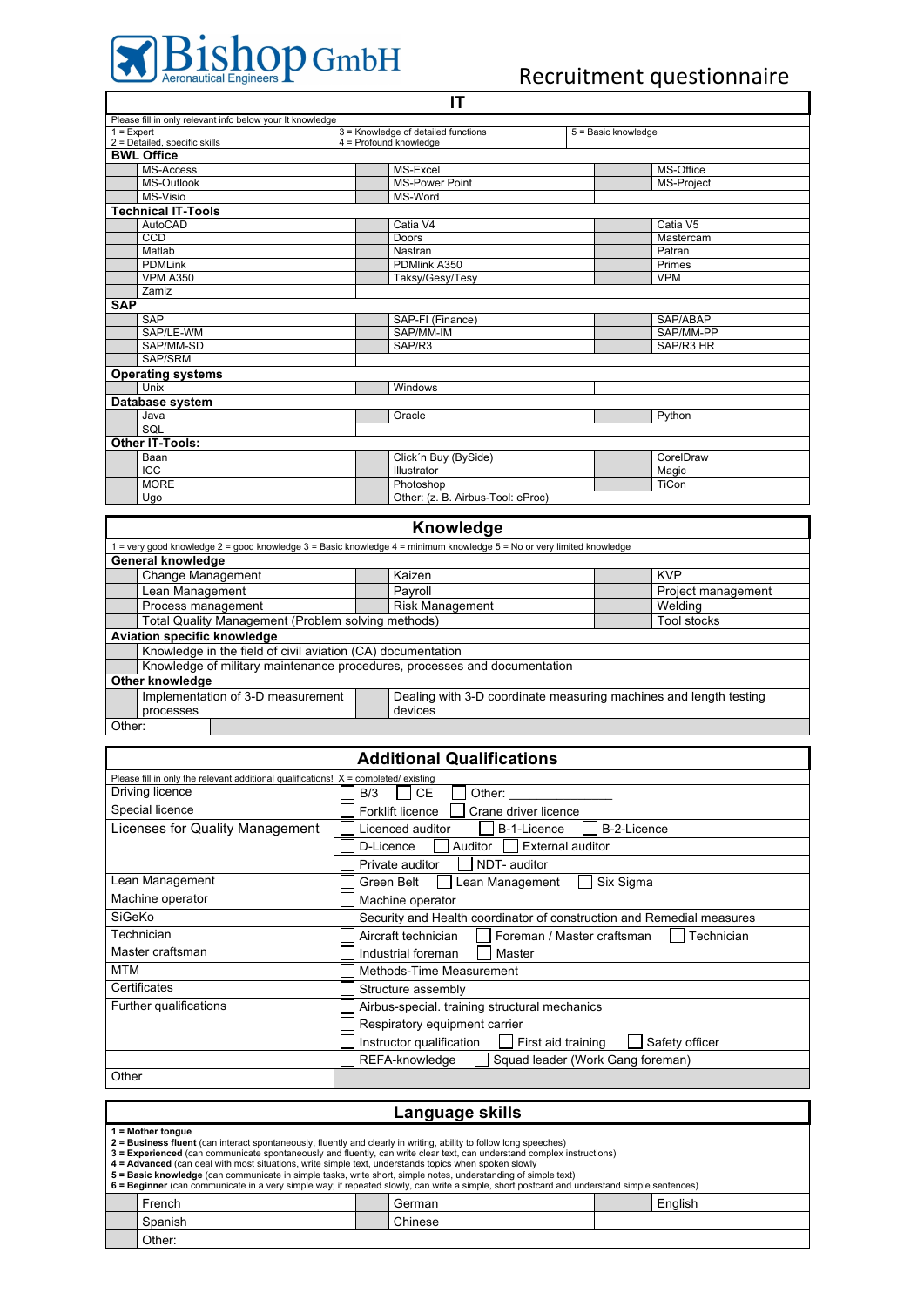## Recruitment questionnaire

٦

| Please fill in only relevant info below your It knowledge |                                                           |                     |  |  |  |  |
|-----------------------------------------------------------|-----------------------------------------------------------|---------------------|--|--|--|--|
| $1 =$ Expert                                              | 3 = Knowledge of detailed functions                       | 5 = Basic knowledge |  |  |  |  |
|                                                           | 2 = Detailed, specific skills<br>$4 =$ Profound knowledge |                     |  |  |  |  |
| <b>BWL Office</b>                                         |                                                           |                     |  |  |  |  |
| MS-Access                                                 | MS-Excel                                                  | MS-Office           |  |  |  |  |
| MS-Outlook                                                | <b>MS-Power Point</b>                                     | MS-Project          |  |  |  |  |
| <b>MS-Visio</b>                                           | MS-Word                                                   |                     |  |  |  |  |
| <b>Technical IT-Tools</b>                                 |                                                           |                     |  |  |  |  |
| AutoCAD                                                   | Catia V4                                                  | Catia V5            |  |  |  |  |
| CCD                                                       | Doors                                                     | Mastercam           |  |  |  |  |
| Matlab                                                    | Nastran                                                   | Patran              |  |  |  |  |
| <b>PDMLink</b>                                            | PDMlink A350                                              | Primes              |  |  |  |  |
| <b>VPM A350</b>                                           | Taksy/Gesy/Tesy                                           | <b>VPM</b>          |  |  |  |  |
| Zamiz                                                     |                                                           |                     |  |  |  |  |
| <b>SAP</b>                                                |                                                           |                     |  |  |  |  |
| SAP                                                       | SAP-FI (Finance)                                          | SAP/ABAP            |  |  |  |  |
| SAP/LE-WM                                                 | SAP/MM-IM                                                 | SAP/MM-PP           |  |  |  |  |
| SAP/MM-SD                                                 | SAP/R3                                                    | SAP/R3 HR           |  |  |  |  |
| SAP/SRM                                                   |                                                           |                     |  |  |  |  |
| <b>Operating systems</b>                                  |                                                           |                     |  |  |  |  |
| Unix                                                      | Windows                                                   |                     |  |  |  |  |
| Database system                                           |                                                           |                     |  |  |  |  |
| Java                                                      | Oracle                                                    | Python              |  |  |  |  |
| SQL                                                       |                                                           |                     |  |  |  |  |
| Other IT-Tools:                                           |                                                           |                     |  |  |  |  |
| Baan                                                      | Click'n Buy (BySide)                                      | CorelDraw           |  |  |  |  |
| <b>ICC</b>                                                | Illustrator                                               | Magic               |  |  |  |  |
| <b>MORE</b>                                               | Photoshop                                                 | TiCon               |  |  |  |  |
| Ugo                                                       | Other: (z. B. Airbus-Tool: eProc)                         |                     |  |  |  |  |
|                                                           |                                                           |                     |  |  |  |  |

**IT**

| <b>Knowledge</b>                                   |                                                                           |  |                                                                                                                             |                    |  |
|----------------------------------------------------|---------------------------------------------------------------------------|--|-----------------------------------------------------------------------------------------------------------------------------|--------------------|--|
|                                                    |                                                                           |  | = very good knowledge $2$ = good knowledge $3$ = Basic knowledge $4$ = minimum knowledge $5$ = No or very limited knowledge |                    |  |
|                                                    | General knowledge                                                         |  |                                                                                                                             |                    |  |
|                                                    | Change Management                                                         |  | Kaizen                                                                                                                      | <b>KVP</b>         |  |
|                                                    | Lean Management                                                           |  | Payroll                                                                                                                     | Project management |  |
|                                                    | Process management                                                        |  | <b>Risk Management</b>                                                                                                      | Welding            |  |
| Total Quality Management (Problem solving methods) |                                                                           |  |                                                                                                                             | Tool stocks        |  |
|                                                    | <b>Aviation specific knowledge</b>                                        |  |                                                                                                                             |                    |  |
|                                                    | Knowledge in the field of civil aviation (CA) documentation               |  |                                                                                                                             |                    |  |
|                                                    | Knowledge of military maintenance procedures, processes and documentation |  |                                                                                                                             |                    |  |
|                                                    | Other knowledge                                                           |  |                                                                                                                             |                    |  |
|                                                    | Implementation of 3-D measurement                                         |  | Dealing with 3-D coordinate measuring machines and length testing                                                           |                    |  |
| processes                                          |                                                                           |  | devices                                                                                                                     |                    |  |
| Other:                                             |                                                                           |  |                                                                                                                             |                    |  |

## **Additional Qualifications**

| Please fill in only the relevant additional qualifications! $X =$ completed/existing |                                                                       |  |  |  |  |
|--------------------------------------------------------------------------------------|-----------------------------------------------------------------------|--|--|--|--|
| Driving licence                                                                      | CЕ<br>B/3<br>Other:                                                   |  |  |  |  |
| Special licence<br>Forklift licence<br>Crane driver licence                          |                                                                       |  |  |  |  |
| Licenses for Quality Management                                                      | Licenced auditor<br>B-1-Licence<br>B-2-Licence                        |  |  |  |  |
|                                                                                      | <b>External auditor</b><br><b>Auditor</b><br>D-Licence                |  |  |  |  |
|                                                                                      | NDT- auditor<br>Private auditor                                       |  |  |  |  |
| Lean Management                                                                      | Lean Management<br>Six Sigma<br>Green Belt                            |  |  |  |  |
| Machine operator                                                                     | Machine operator                                                      |  |  |  |  |
| SiGeKo                                                                               | Security and Health coordinator of construction and Remedial measures |  |  |  |  |
| Technician                                                                           | Aircraft technician<br>Foreman / Master craftsman<br>Technician       |  |  |  |  |
| Master craftsman                                                                     | Industrial foreman<br>Master                                          |  |  |  |  |
| <b>MTM</b><br>Methods-Time Measurement                                               |                                                                       |  |  |  |  |
| Certificates                                                                         | Structure assembly                                                    |  |  |  |  |
| Further qualifications                                                               | Airbus-special. training structural mechanics                         |  |  |  |  |
|                                                                                      | Respiratory equipment carrier                                         |  |  |  |  |
| Safety officer<br>First aid training<br>Instructor qualification                     |                                                                       |  |  |  |  |
|                                                                                      | REFA-knowledge<br>Squad leader (Work Gang foreman)                    |  |  |  |  |
| Other                                                                                |                                                                       |  |  |  |  |

## **Language skills**

**1 = Mother tongue**

| <b>2 = Business fluent</b> (can interact spontaneously, fluently and clearly in writing, ability to follow long speeches)                   |                                                                                                                         |  |         |  |         |  |
|---------------------------------------------------------------------------------------------------------------------------------------------|-------------------------------------------------------------------------------------------------------------------------|--|---------|--|---------|--|
|                                                                                                                                             | 3 = Experienced (can communicate spontaneously and fluently, can write clear text, can understand complex instructions) |  |         |  |         |  |
|                                                                                                                                             | 4 = Advanced (can deal with most situations, write simple text, understands topics when spoken slowly                   |  |         |  |         |  |
| 5 = Basic knowledge (can communicate in simple tasks, write short, simple notes, understanding of simple text)                              |                                                                                                                         |  |         |  |         |  |
| 6 = Beginner (can communicate in a very simple way; if repeated slowly, can write a simple, short postcard and understand simple sentences) |                                                                                                                         |  |         |  |         |  |
|                                                                                                                                             | French                                                                                                                  |  | German  |  | English |  |
|                                                                                                                                             | Spanish                                                                                                                 |  | Chinese |  |         |  |
|                                                                                                                                             | Other:                                                                                                                  |  |         |  |         |  |